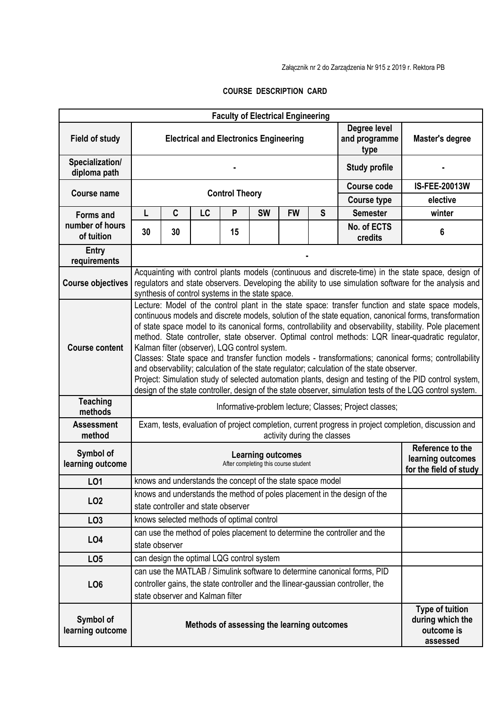## **COURSE DESCRIPTION CARD**

|                                 |                                                                                                                                                                                                                                                                                                                                                                                                                                                                                                                                                                                                                                                                                                                                                                                                                                                                                                              |                                           |           |                       |                                               | <b>Faculty of Electrical Engineering</b>                        |   |                                       |                                                                      |  |  |  |
|---------------------------------|--------------------------------------------------------------------------------------------------------------------------------------------------------------------------------------------------------------------------------------------------------------------------------------------------------------------------------------------------------------------------------------------------------------------------------------------------------------------------------------------------------------------------------------------------------------------------------------------------------------------------------------------------------------------------------------------------------------------------------------------------------------------------------------------------------------------------------------------------------------------------------------------------------------|-------------------------------------------|-----------|-----------------------|-----------------------------------------------|-----------------------------------------------------------------|---|---------------------------------------|----------------------------------------------------------------------|--|--|--|
| <b>Field of study</b>           |                                                                                                                                                                                                                                                                                                                                                                                                                                                                                                                                                                                                                                                                                                                                                                                                                                                                                                              |                                           |           |                       | <b>Electrical and Electronics Engineering</b> |                                                                 |   | Degree level<br>and programme<br>type | <b>Master's degree</b>                                               |  |  |  |
| Specialization/<br>diploma path |                                                                                                                                                                                                                                                                                                                                                                                                                                                                                                                                                                                                                                                                                                                                                                                                                                                                                                              |                                           |           |                       |                                               |                                                                 |   | <b>Study profile</b>                  |                                                                      |  |  |  |
| <b>Course name</b>              |                                                                                                                                                                                                                                                                                                                                                                                                                                                                                                                                                                                                                                                                                                                                                                                                                                                                                                              |                                           |           | <b>Control Theory</b> |                                               |                                                                 |   | <b>Course code</b>                    | <b>IS-FEE-20013W</b>                                                 |  |  |  |
|                                 |                                                                                                                                                                                                                                                                                                                                                                                                                                                                                                                                                                                                                                                                                                                                                                                                                                                                                                              |                                           |           |                       |                                               |                                                                 |   | <b>Course type</b>                    | elective                                                             |  |  |  |
| <b>Forms and</b>                | L                                                                                                                                                                                                                                                                                                                                                                                                                                                                                                                                                                                                                                                                                                                                                                                                                                                                                                            | C                                         | <b>LC</b> | P                     | <b>SW</b>                                     | <b>FW</b>                                                       | S | <b>Semester</b>                       | winter                                                               |  |  |  |
| number of hours<br>of tuition   | 30                                                                                                                                                                                                                                                                                                                                                                                                                                                                                                                                                                                                                                                                                                                                                                                                                                                                                                           | 30                                        |           | 15                    |                                               |                                                                 |   | No. of ECTS<br>credits                | 6                                                                    |  |  |  |
| <b>Entry</b><br>requirements    |                                                                                                                                                                                                                                                                                                                                                                                                                                                                                                                                                                                                                                                                                                                                                                                                                                                                                                              |                                           |           |                       |                                               |                                                                 |   |                                       |                                                                      |  |  |  |
| <b>Course objectives</b>        | Acquainting with control plants models (continuous and discrete-time) in the state space, design of<br>regulators and state observers. Developing the ability to use simulation software for the analysis and<br>synthesis of control systems in the state space.                                                                                                                                                                                                                                                                                                                                                                                                                                                                                                                                                                                                                                            |                                           |           |                       |                                               |                                                                 |   |                                       |                                                                      |  |  |  |
| <b>Course content</b>           | Lecture: Model of the control plant in the state space: transfer function and state space models,<br>continuous models and discrete models, solution of the state equation, canonical forms, transformation<br>of state space model to its canonical forms, controllability and observability, stability. Pole placement<br>method. State controller, state observer. Optimal control methods: LQR linear-quadratic regulator,<br>Kalman filter (observer), LQG control system.<br>Classes: State space and transfer function models - transformations; canonical forms; controllability<br>and observability; calculation of the state regulator; calculation of the state observer.<br>Project: Simulation study of selected automation plants, design and testing of the PID control system,<br>design of the state controller, design of the state observer, simulation tests of the LQG control system. |                                           |           |                       |                                               |                                                                 |   |                                       |                                                                      |  |  |  |
| <b>Teaching</b><br>methods      | Informative-problem lecture; Classes; Project classes;                                                                                                                                                                                                                                                                                                                                                                                                                                                                                                                                                                                                                                                                                                                                                                                                                                                       |                                           |           |                       |                                               |                                                                 |   |                                       |                                                                      |  |  |  |
| <b>Assessment</b><br>method     | Exam, tests, evaluation of project completion, current progress in project completion, discussion and<br>activity during the classes                                                                                                                                                                                                                                                                                                                                                                                                                                                                                                                                                                                                                                                                                                                                                                         |                                           |           |                       |                                               |                                                                 |   |                                       |                                                                      |  |  |  |
| Symbol of<br>learning outcome   | <b>Learning outcomes</b><br>After completing this course student                                                                                                                                                                                                                                                                                                                                                                                                                                                                                                                                                                                                                                                                                                                                                                                                                                             |                                           |           |                       |                                               | Reference to the<br>learning outcomes<br>for the field of study |   |                                       |                                                                      |  |  |  |
| LO1                             |                                                                                                                                                                                                                                                                                                                                                                                                                                                                                                                                                                                                                                                                                                                                                                                                                                                                                                              |                                           |           |                       |                                               | knows and understands the concept of the state space model      |   |                                       |                                                                      |  |  |  |
| LO <sub>2</sub>                 | knows and understands the method of poles placement in the design of the<br>state controller and state observer                                                                                                                                                                                                                                                                                                                                                                                                                                                                                                                                                                                                                                                                                                                                                                                              |                                           |           |                       |                                               |                                                                 |   |                                       |                                                                      |  |  |  |
| LO <sub>3</sub>                 |                                                                                                                                                                                                                                                                                                                                                                                                                                                                                                                                                                                                                                                                                                                                                                                                                                                                                                              | knows selected methods of optimal control |           |                       |                                               |                                                                 |   |                                       |                                                                      |  |  |  |
| LO <sub>4</sub>                 | can use the method of poles placement to determine the controller and the<br>state observer                                                                                                                                                                                                                                                                                                                                                                                                                                                                                                                                                                                                                                                                                                                                                                                                                  |                                           |           |                       |                                               |                                                                 |   |                                       |                                                                      |  |  |  |
| LO <sub>5</sub>                 | can design the optimal LQG control system                                                                                                                                                                                                                                                                                                                                                                                                                                                                                                                                                                                                                                                                                                                                                                                                                                                                    |                                           |           |                       |                                               |                                                                 |   |                                       |                                                                      |  |  |  |
| LO <sub>6</sub>                 | can use the MATLAB / Simulink software to determine canonical forms, PID<br>controller gains, the state controller and the Ilinear-gaussian controller, the<br>state observer and Kalman filter                                                                                                                                                                                                                                                                                                                                                                                                                                                                                                                                                                                                                                                                                                              |                                           |           |                       |                                               |                                                                 |   |                                       |                                                                      |  |  |  |
| Symbol of<br>learning outcome   |                                                                                                                                                                                                                                                                                                                                                                                                                                                                                                                                                                                                                                                                                                                                                                                                                                                                                                              |                                           |           |                       |                                               | Methods of assessing the learning outcomes                      |   |                                       | <b>Type of tuition</b><br>during which the<br>outcome is<br>assessed |  |  |  |